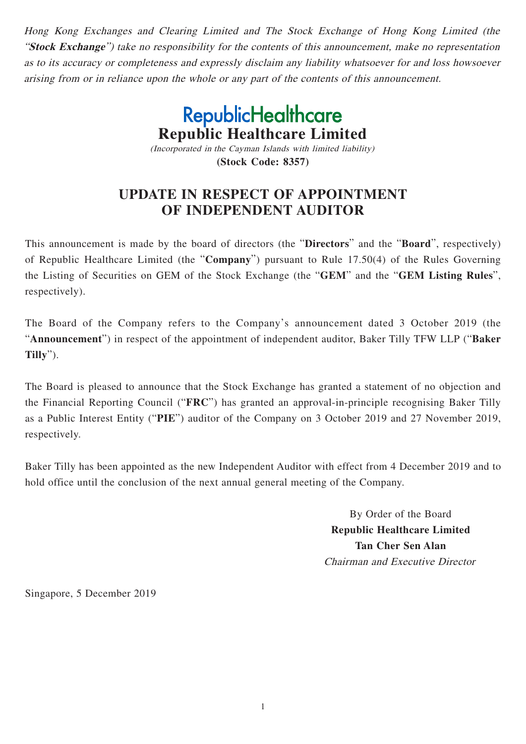Hong Kong Exchanges and Clearing Limited and The Stock Exchange of Hong Kong Limited (the "**Stock Exchange**") take no responsibility for the contents of this announcement, make no representation as to its accuracy or completeness and expressly disclaim any liability whatsoever for and loss howsoever arising from or in reliance upon the whole or any part of the contents of this announcement.

> **RepublicHealthcare Republic Healthcare Limited** (Incorporated in the Cayman Islands with limited liability)

> > **(Stock Code: 8357)**

## **UPDATE IN RESPECT OF APPOINTMENT OF INDEPENDENT AUDITOR**

This announcement is made by the board of directors (the "**Directors**" and the "**Board**", respectively) of Republic Healthcare Limited (the "**Company**") pursuant to Rule 17.50(4) of the Rules Governing the Listing of Securities on GEM of the Stock Exchange (the "**GEM**" and the "**GEM Listing Rules**", respectively).

The Board of the Company refers to the Company's announcement dated 3 October 2019 (the "**Announcement**") in respect of the appointment of independent auditor, Baker Tilly TFW LLP ("**Baker Tilly**").

The Board is pleased to announce that the Stock Exchange has granted a statement of no objection and the Financial Reporting Council ("**FRC**") has granted an approval-in-principle recognising Baker Tilly as a Public Interest Entity ("**PIE**") auditor of the Company on 3 October 2019 and 27 November 2019, respectively.

Baker Tilly has been appointed as the new Independent Auditor with effect from 4 December 2019 and to hold office until the conclusion of the next annual general meeting of the Company.

> By Order of the Board **Republic Healthcare Limited Tan Cher Sen Alan** Chairman and Executive Director

Singapore, 5 December 2019